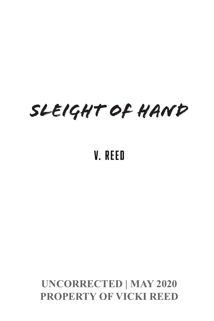## *SLEIGHT OF HAND*

## V. Reed

## **UNCORRECTED | MAY 2020 PROPERTY OF VICKI REED**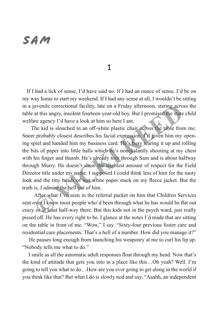## SAM

1

 If I had a lick of sense, I'd have said no. If I had an ounce of sense, I'd be on my way home to start my weekend. If I had any sense at all, I wouldn't be sitting in a juvenile correctional facility, late on a Friday afternoon, staring across the table at this angry, insolent fourteen-year-old boy. But I promised the state child welfare agency I'd have a look at him so here I am.

 The kid is slouched in an off-white plastic chair across the table from me. Sneer probably closest describes his facial expression. I'd given him my opening spiel and handed him my business card. He's busy tearing it up and rolling the bits of paper into little balls which he's nonchalantly shooting at my chest with his finger and thumb. He's already torn through Sam and is about halfway through Murry. He doesn't show the slightest amount of respect for the Field Director title under my name. I supposed I could think less of him for the nasty look and the tiny beads of wet white paper stuck on my fleece jacket. But the truth is, I admire the hell out of him. uvenile correctional facility, late on a Friday afternoon, staring acro at this angry, insolent fourteen-year-old boy. But I promised the state tre agency I'd have a look at him so here I am.<br>The kid is slouched in an off-

 After what I've seen in the referral packet on him that Children Services sent over I know most people who'd been through what he has would be flat out crazy or at least half-way there. But this kids not in the psych ward, just really pissed off. He has every right to be. I glance at the notes I'd made that are sitting on the table in front of me. "Wow," I say. "Sixty-four previous foster care and residential care placements. That's a hell of a number. How did you manage it?"

 He pauses long enough from launching his weaponry at me to curl his lip up. "Nobody tells me what to do."

 I smile as all the automatic adult responses float through my head. Now that's the kind of attitude that gets you into in a place like this…Oh yeah? Well. I'm going to tell you what to do…How are you ever going to get along in the world if you think like that? But what I do is slowly nod and say, "Aaahh, an independent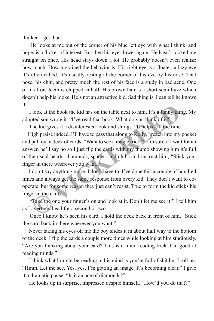thinker. I get that."

 He looks at me out of the corner of his blue left eye with what I think, and hope, is a flicker of interest. But then his eyes lower again. He hasn't looked me straight on once. His head stays down a lot. He probably doesn't even realize how much. How ingrained the behavior is. His right eye is a floater, a lazy eye it's often called. It's usually resting at the corner of his eye by his nose. That nose, his chin, and pretty much the rest of his face is a study in bad acne. One of his front teeth is chipped in half. His brown hair is a short semi buzz which doesn't help his looks. He's not an attractive kid. Sad thing is, I can tell he knows it.

 I look at the book the kid has on the table next to him. It's a funny thing. My adopted son wrote it. "I've read that book. What do you think of it?"

The kid gives it a disinterested look and shrugs. "It helps kill the time."

High praise indeed. I'll have to pass that along to Kelly. I reach into my pocket and pull out a deck of cards. "Want to see a magic trick?" I'm sure if I wait for an answer, he'll say no so I just flip the cards with my thumb showing him it's full of the usual hearts, diamonds, spades, and clubs and instruct him, "Stick your finger in there wherever you want." look at the book the kid has on the table next to him. It's a funny thinchied son wrote it. "I've read that book. What do you think of it?"<br>The kid gives it a disinterested look and shrugs. "It helps kill the time.<br>Iigh pr

 I don't say anything more. I don't have to. I've done this a couple of hundred times and always get the same response from every kid. They don't want to cooperate, but for some reason they just can't resist. True to form the kid sticks his finger in the cards.

 "Take the one your finger's on and look at it. Don't let me see it!" I tell him as I avert my head for a second or two.

 Once I know he's seen his card, I hold the deck back in front of him. "Stick the card back in there wherever you want."

 Never taking his eyes off me the boy slides it in about half way to the bottom of the deck. I flip the cards a couple more times while looking at him studiously. "Are you thinking about your card? This is a mind reading trick. I'm good at reading minds."

 I think what I might be reading in his mind is you're full of shit but I roll on. "Hmm. Let me see. Yes, yes, I'm getting an image. It's becoming clear." I give it a dramatic pause. "Is it an ace of diamonds?"

He looks up in surprise, impressed despite himself. "How'd you do that?"